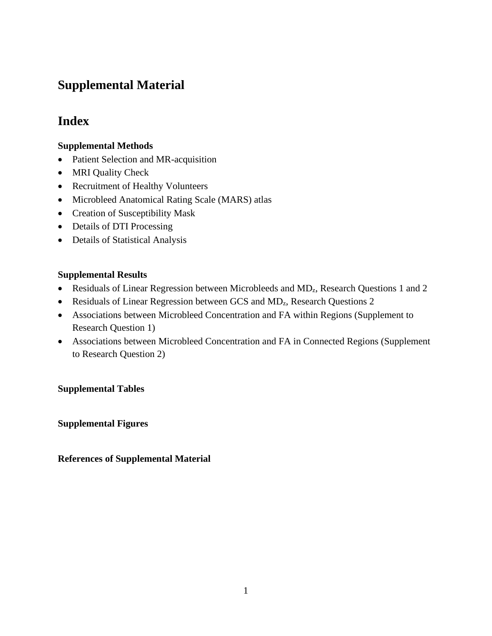# **Supplemental Material**

## **Index**

### **Supplemental Methods**

- Patient Selection and MR-acquisition
- MRI Quality Check
- Recruitment of Healthy Volunteers
- Microbleed Anatomical Rating Scale (MARS) atlas
- Creation of Susceptibility Mask
- Details of DTI Processing
- Details of Statistical Analysis

### **Supplemental Results**

- Residuals of Linear Regression between Microbleeds and MD<sub>z</sub>, Research Questions 1 and 2
- Residuals of Linear Regression between GCS and MD<sub>z</sub>, Research Questions 2
- Associations between Microbleed Concentration and FA within Regions (Supplement to Research Question 1)
- Associations between Microbleed Concentration and FA in Connected Regions (Supplement to Research Question 2)

### **Supplemental Tables**

**Supplemental Figures**

### **References of Supplemental Material**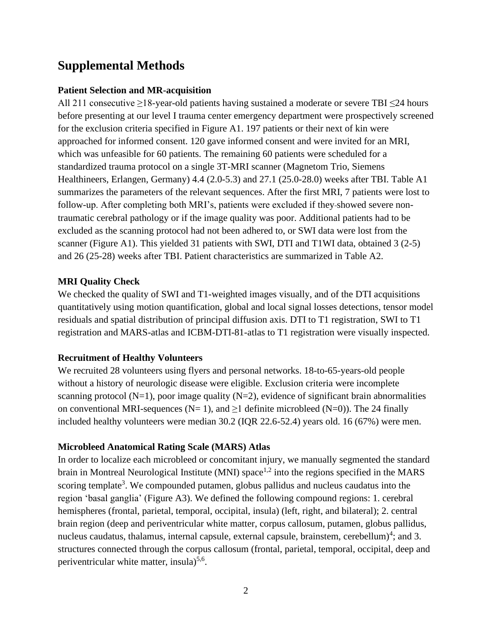## **Supplemental Methods**

### **Patient Selection and MR-acquisition**

All 211 consecutive ≥18-year-old patients having sustained a moderate or severe TBI ≤24 hours before presenting at our level I trauma center emergency department were prospectively screened for the exclusion criteria specified in Figure A1. 197 patients or their next of kin were approached for informed consent. 120 gave informed consent and were invited for an MRI, which was unfeasible for 60 patients. The remaining 60 patients were scheduled for a standardized trauma protocol on a single 3T-MRI scanner (Magnetom Trio, Siemens Healthineers, Erlangen, Germany) 4.4 (2.0-5.3) and 27.1 (25.0-28.0) weeks after TBI. Table A1 summarizes the parameters of the relevant sequences. After the first MRI, 7 patients were lost to follow-up. After completing both MRI's, patients were excluded if they showed severe nontraumatic cerebral pathology or if the image quality was poor. Additional patients had to be excluded as the scanning protocol had not been adhered to, or SWI data were lost from the scanner (Figure A1). This yielded 31 patients with SWI, DTI and T1WI data, obtained 3 (2-5) and 26 (25-28) weeks after TBI. Patient characteristics are summarized in Table A2.

### **MRI Quality Check**

We checked the quality of SWI and T1-weighted images visually, and of the DTI acquisitions quantitatively using motion quantification, global and local signal losses detections, tensor model residuals and spatial distribution of principal diffusion axis. DTI to T1 registration, SWI to T1 registration and MARS-atlas and ICBM-DTI-81-atlas to T1 registration were visually inspected.

### **Recruitment of Healthy Volunteers**

We recruited 28 volunteers using flyers and personal networks. 18-to-65-years-old people without a history of neurologic disease were eligible. Exclusion criteria were incomplete scanning protocol (N=1), poor image quality (N=2), evidence of significant brain abnormalities on conventional MRI-sequences ( $N= 1$ ), and  $\geq 1$  definite microbleed ( $N=0$ )). The 24 finally included healthy volunteers were median 30.2 (IQR 22.6-52.4) years old. 16 (67%) were men.

### **Microbleed Anatomical Rating Scale (MARS) Atlas**

In order to localize each microbleed or concomitant injury, we manually segmented the standard brain in Montreal Neurological Institute (MNI) space<sup>1,2</sup> into the regions specified in the MARS scoring template<sup>3</sup>. We compounded putamen, globus pallidus and nucleus caudatus into the region 'basal ganglia' (Figure A3). We defined the following compound regions: 1. cerebral hemispheres (frontal, parietal, temporal, occipital, insula) (left, right, and bilateral); 2. central brain region (deep and periventricular white matter, corpus callosum, putamen, globus pallidus, nucleus caudatus, thalamus, internal capsule, external capsule, brainstem, cerebellum)<sup>4</sup>; and 3. structures connected through the corpus callosum (frontal, parietal, temporal, occipital, deep and periventricular white matter, insula)<sup>5,6</sup>.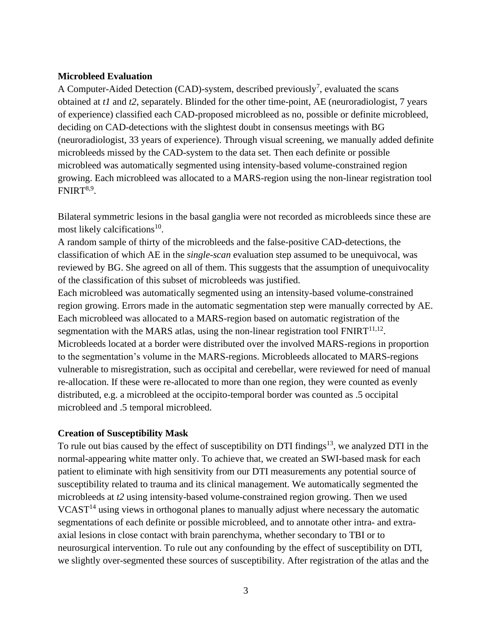#### **Microbleed Evaluation**

A Computer-Aided Detection (CAD)-system, described previously<sup>7</sup>, evaluated the scans obtained at *t1* and *t2*, separately. Blinded for the other time-point, AE (neuroradiologist, 7 years of experience) classified each CAD-proposed microbleed as no, possible or definite microbleed, deciding on CAD-detections with the slightest doubt in consensus meetings with BG (neuroradiologist, 33 years of experience). Through visual screening, we manually added definite microbleeds missed by the CAD-system to the data set. Then each definite or possible microbleed was automatically segmented using intensity-based volume-constrained region growing. Each microbleed was allocated to a MARS-region using the non-linear registration tool  $FNIRT<sup>8,9</sup>$ .

Bilateral symmetric lesions in the basal ganglia were not recorded as microbleeds since these are most likely calcifications<sup>10</sup>.

A random sample of thirty of the microbleeds and the false-positive CAD-detections, the classification of which AE in the *single-scan* evaluation step assumed to be unequivocal, was reviewed by BG. She agreed on all of them. This suggests that the assumption of unequivocality of the classification of this subset of microbleeds was justified.

Each microbleed was automatically segmented using an intensity-based volume-constrained region growing. Errors made in the automatic segmentation step were manually corrected by AE. Each microbleed was allocated to a MARS-region based on automatic registration of the segmentation with the MARS atlas, using the non-linear registration tool  $\text{FNIRT}^{11,12}$ . Microbleeds located at a border were distributed over the involved MARS-regions in proportion to the segmentation's volume in the MARS-regions. Microbleeds allocated to MARS-regions vulnerable to misregistration, such as occipital and cerebellar, were reviewed for need of manual re-allocation. If these were re-allocated to more than one region, they were counted as evenly distributed, e.g. a microbleed at the occipito-temporal border was counted as .5 occipital microbleed and .5 temporal microbleed.

#### **Creation of Susceptibility Mask**

To rule out bias caused by the effect of susceptibility on DTI findings<sup>13</sup>, we analyzed DTI in the normal-appearing white matter only. To achieve that, we created an SWI-based mask for each patient to eliminate with high sensitivity from our DTI measurements any potential source of susceptibility related to trauma and its clinical management. We automatically segmented the microbleeds at *t2* using intensity-based volume-constrained region growing. Then we used  $VCAST<sup>14</sup>$  using views in orthogonal planes to manually adjust where necessary the automatic segmentations of each definite or possible microbleed, and to annotate other intra- and extraaxial lesions in close contact with brain parenchyma, whether secondary to TBI or to neurosurgical intervention. To rule out any confounding by the effect of susceptibility on DTI, we slightly over-segmented these sources of susceptibility. After registration of the atlas and the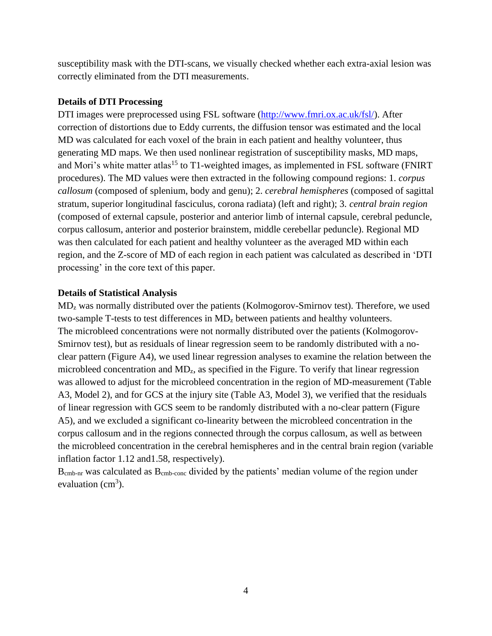susceptibility mask with the DTI-scans, we visually checked whether each extra-axial lesion was correctly eliminated from the DTI measurements.

#### **Details of DTI Processing**

DTI images were preprocessed using FSL software [\(http://www.fmri.ox.ac.uk/fsl/\)](http://www.fmri.ox.ac.uk/fsl/). After correction of distortions due to Eddy currents, the diffusion tensor was estimated and the local MD was calculated for each voxel of the brain in each patient and healthy volunteer, thus generating MD maps. We then used nonlinear registration of susceptibility masks, MD maps, and Mori's white matter atlas<sup>15</sup> to T1-weighted images, as implemented in FSL software (FNIRT procedures). The MD values were then extracted in the following compound regions: 1. *corpus callosum* (composed of splenium, body and genu); 2. *cerebral hemispheres* (composed of sagittal stratum, superior longitudinal fasciculus, corona radiata) (left and right); 3. *central brain region* (composed of external capsule, posterior and anterior limb of internal capsule, cerebral peduncle, corpus callosum, anterior and posterior brainstem, middle cerebellar peduncle). Regional MD was then calculated for each patient and healthy volunteer as the averaged MD within each region, and the Z-score of MD of each region in each patient was calculated as described in 'DTI processing' in the core text of this paper.

#### **Details of Statistical Analysis**

MD<sup>z</sup> was normally distributed over the patients (Kolmogorov-Smirnov test). Therefore, we used two-sample T-tests to test differences in  $MD<sub>z</sub>$  between patients and healthy volunteers. The microbleed concentrations were not normally distributed over the patients (Kolmogorov-Smirnov test), but as residuals of linear regression seem to be randomly distributed with a noclear pattern (Figure A4), we used linear regression analyses to examine the relation between the microbleed concentration and MD<sub>z</sub>, as specified in the Figure. To verify that linear regression was allowed to adjust for the microbleed concentration in the region of MD-measurement (Table A3, Model 2), and for GCS at the injury site (Table A3, Model 3), we verified that the residuals of linear regression with GCS seem to be randomly distributed with a no-clear pattern (Figure A5), and we excluded a significant co-linearity between the microbleed concentration in the corpus callosum and in the regions connected through the corpus callosum, as well as between the microbleed concentration in the cerebral hemispheres and in the central brain region (variable inflation factor 1.12 and1.58, respectively).

B<sub>cmb-nr</sub> was calculated as B<sub>cmb-conc</sub> divided by the patients' median volume of the region under evaluation  $(cm<sup>3</sup>)$ .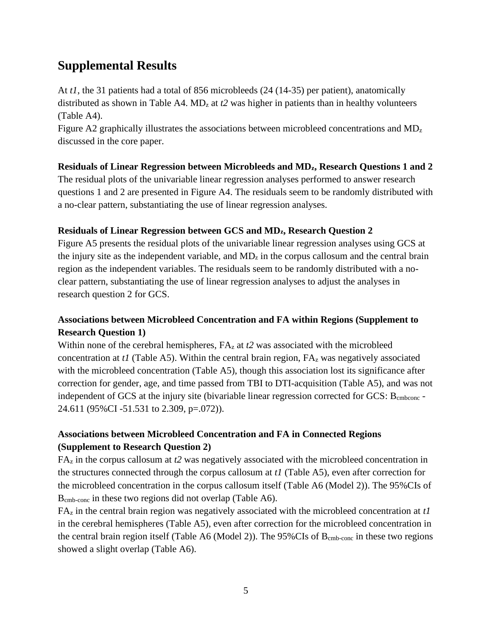## **Supplemental Results**

At *t1*, the 31 patients had a total of 856 microbleeds (24 (14-35) per patient), anatomically distributed as shown in Table A4.  $MD<sub>z</sub>$  at  $t2$  was higher in patients than in healthy volunteers (Table A4).

Figure A2 graphically illustrates the associations between microbleed concentrations and  $MD<sub>z</sub>$ discussed in the core paper.

### **Residuals of Linear Regression between Microbleeds and MDz, Research Questions 1 and 2**

The residual plots of the univariable linear regression analyses performed to answer research questions 1 and 2 are presented in Figure A4. The residuals seem to be randomly distributed with a no-clear pattern, substantiating the use of linear regression analyses.

#### **Residuals of Linear Regression between GCS and MDz, Research Question 2**

Figure A5 presents the residual plots of the univariable linear regression analyses using GCS at the injury site as the independent variable, and  $MD<sub>z</sub>$  in the corpus callosum and the central brain region as the independent variables. The residuals seem to be randomly distributed with a noclear pattern, substantiating the use of linear regression analyses to adjust the analyses in research question 2 for GCS.

### **Associations between Microbleed Concentration and FA within Regions (Supplement to Research Question 1)**

Within none of the cerebral hemispheres,  $FA<sub>z</sub>$  at *t*2 was associated with the microbleed concentration at *t1* (Table A5). Within the central brain region, FA<sup>z</sup> was negatively associated with the microbleed concentration (Table A5), though this association lost its significance after correction for gender, age, and time passed from TBI to DTI-acquisition (Table A5), and was not independent of GCS at the injury site (bivariable linear regression corrected for GCS: B<sub>cmbconc</sub> -24.611 (95%CI -51.531 to 2.309, p=.072)).

## **Associations between Microbleed Concentration and FA in Connected Regions (Supplement to Research Question 2)**

FA<sup>z</sup> in the corpus callosum at *t2* was negatively associated with the microbleed concentration in the structures connected through the corpus callosum at *t1* (Table A5), even after correction for the microbleed concentration in the corpus callosum itself (Table A6 (Model 2)). The 95%CIs of Bcmb-conc in these two regions did not overlap (Table A6).

FA<sup>z</sup> in the central brain region was negatively associated with the microbleed concentration at *t1* in the cerebral hemispheres (Table A5), even after correction for the microbleed concentration in the central brain region itself (Table A6 (Model 2)). The  $95\%$ CIs of  $B_{cmb-conc}$  in these two regions showed a slight overlap (Table A6).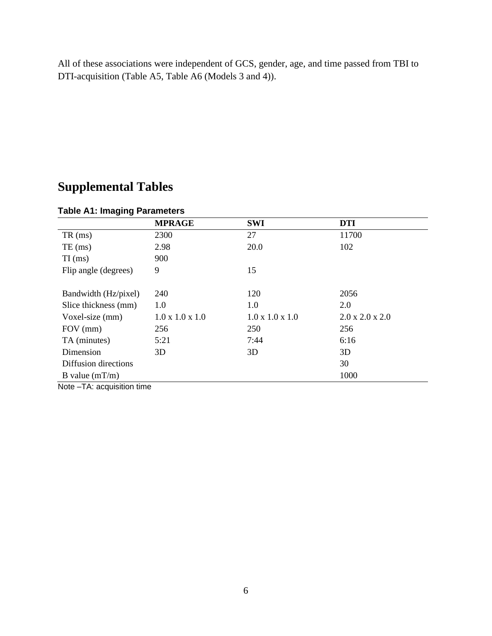All of these associations were independent of GCS, gender, age, and time passed from TBI to DTI-acquisition (Table A5, Table A6 (Models 3 and 4)).

# **Supplemental Tables**

|                      | <b>MPRAGE</b>               | <b>SWI</b>                  | <b>DTI</b>                  |
|----------------------|-----------------------------|-----------------------------|-----------------------------|
| $TR \,$ (ms)         | 2300                        | 27                          | 11700                       |
| $TE$ (ms)            | 2.98                        | 20.0                        | 102                         |
| $TI$ (ms)            | 900                         |                             |                             |
| Flip angle (degrees) | 9                           | 15                          |                             |
|                      |                             |                             |                             |
| Bandwidth (Hz/pixel) | 240                         | 120                         | 2056                        |
| Slice thickness (mm) | 1.0                         | 1.0                         | 2.0                         |
| Voxel-size (mm)      | $1.0 \times 1.0 \times 1.0$ | $1.0 \times 1.0 \times 1.0$ | $2.0 \times 2.0 \times 2.0$ |
| FOV (mm)             | 256                         | 250                         | 256                         |
| TA (minutes)         | 5:21                        | 7:44                        | 6:16                        |
| Dimension            | 3D                          | 3D                          | 3D                          |
| Diffusion directions |                             |                             | 30                          |
| B value $(mT/m)$     |                             |                             | 1000                        |

## **Table A1: Imaging Parameters**

Note –TA: acquisition time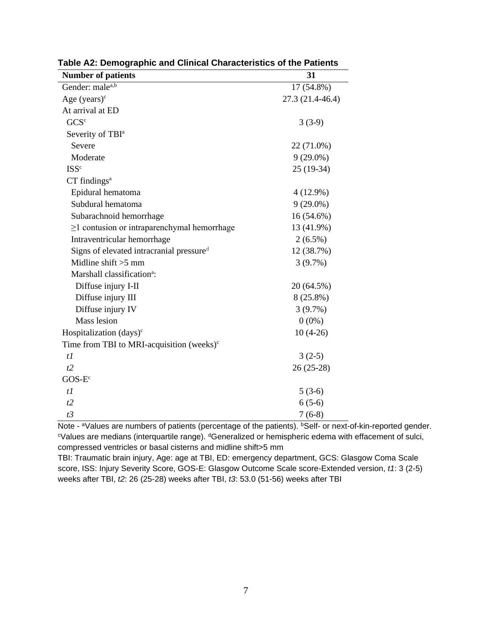| <b>Number of patients</b>                           | 31               |
|-----------------------------------------------------|------------------|
| Gender: malea,b                                     | 17 (54.8%)       |
| Age $(years)^c$                                     | 27.3 (21.4-46.4) |
| At arrival at ED                                    |                  |
| GCS <sup>c</sup>                                    | $3(3-9)$         |
| Severity of TBI <sup>a</sup>                        |                  |
| Severe                                              | 22 (71.0%)       |
| Moderate                                            | $9(29.0\%)$      |
| <b>ISSc</b>                                         | $25(19-34)$      |
| $CT$ findings <sup>a</sup>                          |                  |
| Epidural hematoma                                   | $4(12.9\%)$      |
| Subdural hematoma                                   | $9(29.0\%)$      |
| Subarachnoid hemorrhage                             | 16 (54.6%)       |
| $\geq$ 1 contusion or intraparenchymal hemorrhage   | 13 (41.9%)       |
| Intraventricular hemorrhage                         | $2(6.5\%)$       |
| Signs of elevated intracranial pressured            | 12 (38.7%)       |
| Midline shift $>5$ mm                               | 3(9.7%)          |
| Marshall classification <sup>a</sup> :              |                  |
| Diffuse injury I-II                                 | 20 (64.5%)       |
| Diffuse injury III                                  | 8 (25.8%)        |
| Diffuse injury IV                                   | 3(9.7%)          |
| <b>Mass</b> lesion                                  | $0(0\%)$         |
| Hospitalization (days) <sup>c</sup>                 | $10(4-26)$       |
| Time from TBI to MRI-acquisition (weeks) $\text{c}$ |                  |
| $t\bar{l}$                                          | $3(2-5)$         |
| t2                                                  | $26(25-28)$      |
| $GOS-Ec$                                            |                  |
| $t\bar{l}$                                          | $5(3-6)$         |
| t2                                                  | $6(5-6)$         |
| t3                                                  | $7(6-8)$         |

**Table A2: Demographic and Clinical Characteristics of the Patients**

Note - <sup>a</sup>Values are numbers of patients (percentage of the patients). **BSelf-** or next-of-kin-reported gender. cValues are medians (interquartile range). dGeneralized or hemispheric edema with effacement of sulci, compressed ventricles or basal cisterns and midline shift>5 mm

TBI: Traumatic brain injury, Age: age at TBI, ED: emergency department, GCS: Glasgow Coma Scale score, ISS: Injury Severity Score, GOS-E: Glasgow Outcome Scale score-Extended version, *t1*: 3 (2-5) weeks after TBI, *t2*: 26 (25-28) weeks after TBI, *t3*: 53.0 (51-56) weeks after TBI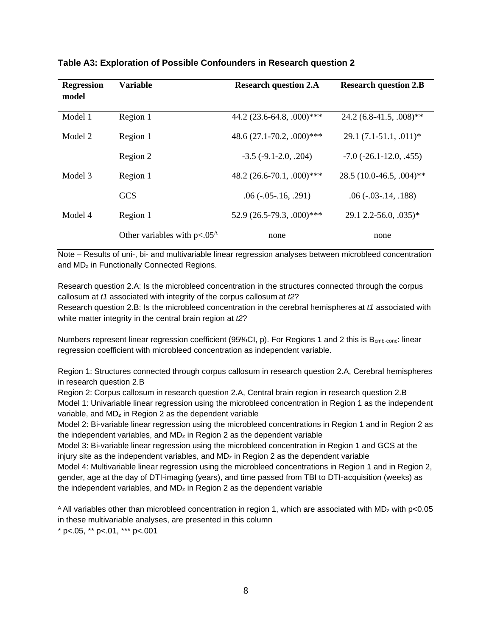| <b>Regression</b><br>model | <b>Variable</b>                  | <b>Research question 2.A</b>     | <b>Research question 2.B</b>       |
|----------------------------|----------------------------------|----------------------------------|------------------------------------|
| Model 1                    | Region 1                         | 44.2 $(23.6-64.8, .000)$ ***     | $24.2(6.8-41.5, .008)$ **          |
| Model 2                    | Region 1                         | 48.6 $(27.1 - 70.2, .000)$ ***   | $29.1(7.1-51.1, .011)^*$           |
|                            | Region 2                         | $-3.5$ ( $-9.1 - 2.0$ , $.204$ ) | $-7.0$ ( $-26.1 - 12.0$ , $.455$ ) |
| Model 3                    | Region 1                         | 48.2 $(26.6 - 70.1, .000)$ ***   | $28.5(10.0-46.5, .004)$ **         |
|                            | <b>GCS</b>                       | $.06$ ( $-.05$ $-.16$ , $.291$ ) | $.06$ ( $-.03$ $-.14$ , $.188$ )   |
| Model 4                    | Region 1                         | $52.9(26.5-79.3, .000)$ ***      | $29.1$ 2.2-56.0, 035)*             |
|                            | Other variables with $p < .05^A$ | none                             | none                               |

#### **Table A3: Exploration of Possible Confounders in Research question 2**

Note – Results of uni-, bi- and multivariable linear regression analyses between microbleed concentration and MD<sup>z</sup> in Functionally Connected Regions.

Research question 2.A: Is the microbleed concentration in the structures connected through the corpus callosum at *t1* associated with integrity of the corpus callosum at *t2*? Research question 2.B: Is the microbleed concentration in the cerebral hemispheres at *t1* associated with white matter integrity in the central brain region at *t2*?

Numbers represent linear regression coefficient (95%CI, p). For Regions 1 and 2 this is B<sub>cmb-conc</sub>: linear regression coefficient with microbleed concentration as independent variable.

Region 1: Structures connected through corpus callosum in research question 2.A, Cerebral hemispheres in research question 2.B

Region 2: Corpus callosum in research question 2.A, Central brain region in research question 2.B Model 1: Univariable linear regression using the microbleed concentration in Region 1 as the independent variable, and  $MD<sub>z</sub>$  in Region 2 as the dependent variable

Model 2: Bi-variable linear regression using the microbleed concentrations in Region 1 and in Region 2 as the independent variables, and  $MD<sub>z</sub>$  in Region 2 as the dependent variable

Model 3: Bi-variable linear regression using the microbleed concentration in Region 1 and GCS at the injury site as the independent variables, and MDz in Region 2 as the dependent variable

Model 4: Multivariable linear regression using the microbleed concentrations in Region 1 and in Region 2, gender, age at the day of DTI-imaging (years), and time passed from TBI to DTI-acquisition (weeks) as the independent variables, and  $MD<sub>z</sub>$  in Region 2 as the dependent variable

A All variables other than microbleed concentration in region 1, which are associated with  $MD_z$  with p<0.05 in these multivariable analyses, are presented in this column  $*$  p<.05,  $*$  p <.01,  $*$  p <.001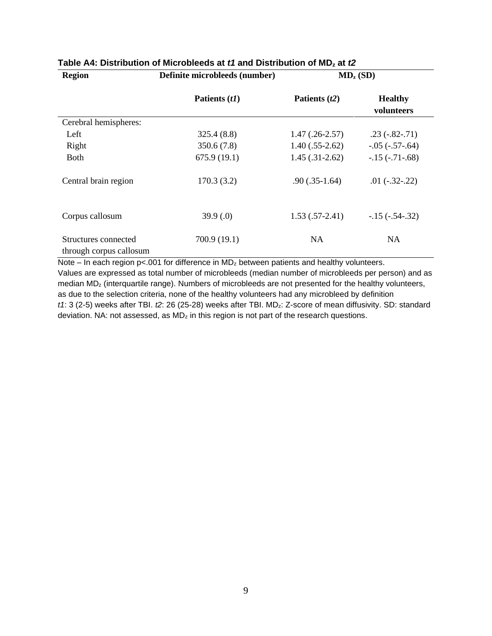| <b>Region</b>                                   | Definite microbleeds (number) | $MD_z(SD)$       |                              |  |
|-------------------------------------------------|-------------------------------|------------------|------------------------------|--|
|                                                 | Patients (t1)                 | Patients $(t2)$  | <b>Healthy</b><br>volunteers |  |
| Cerebral hemispheres:                           |                               |                  |                              |  |
| Left                                            | 325.4(8.8)                    | $1.47(.26-2.57)$ | $.23(-.82-.71)$              |  |
| Right                                           | 350.6(7.8)                    | $1.40(.55-2.62)$ | $-.05 (-.57 - .64)$          |  |
| <b>Both</b>                                     | 675.9(19.1)                   | $1.45(.31-2.62)$ | $-15$ $(-.71 - .68)$         |  |
| Central brain region                            | 170.3(3.2)                    | $.90(.35-1.64)$  | $.01(-.32-.22)$              |  |
| Corpus callosum                                 | 39.9(0)                       | $1.53(.57-2.41)$ | $-15$ $(-.54 - .32)$         |  |
| Structures connected<br>through corpus callosum | 700.9 (19.1)                  | <b>NA</b>        | <b>NA</b>                    |  |

### **Table A4: Distribution of Microbleeds at** *t1* **and Distribution of MD<sup>z</sup> at** *t2*

Note – In each region  $p$ <.001 for difference in  $MD<sub>z</sub>$  between patients and healthy volunteers.

Values are expressed as total number of microbleeds (median number of microbleeds per person) and as median MD<sup>z</sup> (interquartile range). Numbers of microbleeds are not presented for the healthy volunteers, as due to the selection criteria, none of the healthy volunteers had any microbleed by definition *t1*: 3 (2-5) weeks after TBI. *t2*: 26 (25-28) weeks after TBI. MDz: Z-score of mean diffusivity. SD: standard deviation. NA: not assessed, as MDz in this region is not part of the research questions.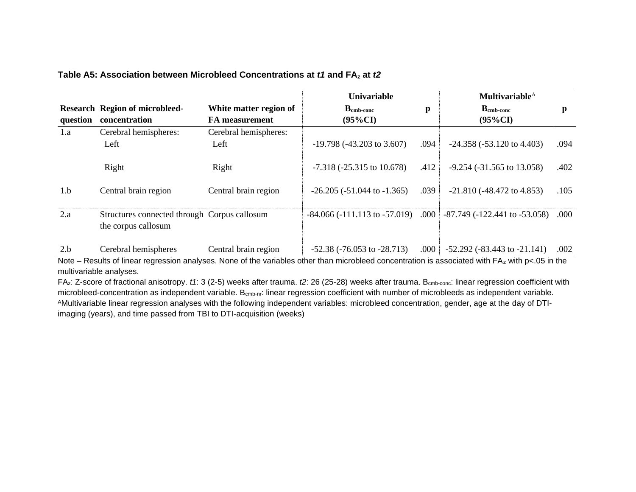#### **Table A5: Association between Microbleed Concentrations at** *t1* **and FA<sup>z</sup> at** *t2*

|          |                                                                     |                        | Univariable                           |              | Multivariable $^{\rm A}$              |      |
|----------|---------------------------------------------------------------------|------------------------|---------------------------------------|--------------|---------------------------------------|------|
|          | <b>Research Region of microbleed-</b>                               | White matter region of | $\mathbf{B}_{\text{cmb-conc}}$        | $\mathbf{p}$ | $\mathbf{B}_{\text{cmb-conc}}$        | p    |
| question | concentration                                                       | <b>FA</b> measurement  | $(95\%CI)$                            |              | $(95\%CI)$                            |      |
| 1.a      | Cerebral hemispheres:                                               | Cerebral hemispheres:  |                                       |              |                                       |      |
|          | Left                                                                | Left                   | $-19.798 (-43.203 \text{ to } 3.607)$ | .094         | $-24.358 (-53.120 \text{ to } 4.403)$ | .094 |
|          | Right                                                               | Right                  | $-7.318 (-25.315)$ to 10.678)         | .412         | $-9.254$ ( $-31.565$ to 13.058)       | .402 |
| 1.b      | Central brain region                                                | Central brain region   | $-26.205 (-51.044$ to $-1.365)$       | .039         | $-21.810 (-48.472)$ to 4.853)         | .105 |
| 2.a      | Structures connected through Corpus callosum<br>the corpus callosum |                        | $-84.066 (-111.113$ to $-57.019$ )    | .000         | $-87.749$ ( $-122.441$ to $-53.058$ ) | .000 |
| 2.b      | Cerebral hemispheres                                                | Central brain region   | $-52.38$ ( $-76.053$ to $-28.713$ )   | .000         | $-52.292$ ( $-83.443$ to $-21.141$ )  | .002 |

Note – Results of linear regression analyses. None of the variables other than microbleed concentration is associated with FAz with p<.05 in the multivariable analyses.

FAz: Z-score of fractional anisotropy. *t1*: 3 (2-5) weeks after trauma. *t2*: 26 (25-28) weeks after trauma. B<sub>cmb-conc</sub>: linear regression coefficient with microbleed-concentration as independent variable. B<sub>cmb-nr</sub>: linear regression coefficient with number of microbleeds as independent variable. AMultivariable linear regression analyses with the following independent variables: microbleed concentration, gender, age at the day of DTIimaging (years), and time passed from TBI to DTI-acquisition (weeks)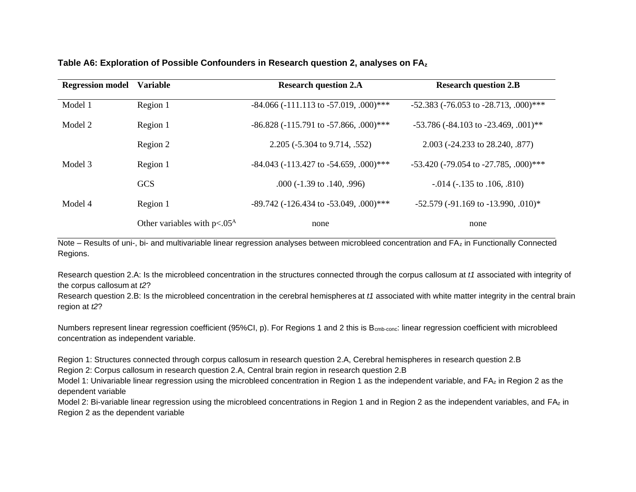#### **Table A6: Exploration of Possible Confounders in Research question 2, analyses on FA<sup>z</sup>**

| <b>Regression model</b> | <b>Variable</b>                  | <b>Research question 2.A</b>                      | <b>Research question 2.B</b>                             |
|-------------------------|----------------------------------|---------------------------------------------------|----------------------------------------------------------|
| Model 1                 | Region 1                         | $-84.066$ ( $-111.113$ to $-57.019$ , $.000$ )*** | $-52.383$ ( $-76.053$ to $-28.713$ , $.000$ )***         |
| Model 2                 | Region 1                         | $-86.828$ ( $-115.791$ to $-57.866$ , $.000$ )*** | $-53.786$ ( $-84.103$ to $-23.469$ , $.001$ )**          |
|                         | Region 2                         | 2.205 (-5.304 to 9.714, .552)                     | 2.003 (-24.233 to 28.240, .877)                          |
| Model 3                 | Region 1                         | $-84.043$ ( $-113.427$ to $-54.659$ , $.000$ )*** | $-53.420$ ( $-79.054$ to $-27.785$ , $.000$ )***         |
|                         | <b>GCS</b>                       | $.000 (-1.39 \text{ to } .140, .996)$             | $-0.014$ ( $-135$ to $.106$ , $.810$ )                   |
| Model 4                 | Region 1                         | $-89.742$ ( $-126.434$ to $-53.049$ , $.000$ )*** | $-52.579$ ( $-91.169$ to $-13.990$ , $.010$ <sup>*</sup> |
|                         | Other variables with $p < .05^A$ | none                                              | none                                                     |

Note – Results of uni-, bi- and multivariable linear regression analyses between microbleed concentration and FA<sup>z</sup> in Functionally Connected Regions.

Research question 2.A: Is the microbleed concentration in the structures connected through the corpus callosum at *t1* associated with integrity of the corpus callosum at *t2*?

Research question 2.B: Is the microbleed concentration in the cerebral hemispheres at *t1* associated with white matter integrity in the central brain region at *t2*?

Numbers represent linear regression coefficient (95%CI, p). For Regions 1 and 2 this is B<sub>cmb-conc</sub>: linear regression coefficient with microbleed concentration as independent variable.

Region 1: Structures connected through corpus callosum in research question 2.A, Cerebral hemispheres in research question 2.B Region 2: Corpus callosum in research question 2.A, Central brain region in research question 2.B

Model 1: Univariable linear regression using the microbleed concentration in Region 1 as the independent variable, and FAz in Region 2 as the dependent variable

Model 2: Bi-variable linear regression using the microbleed concentrations in Region 1 and in Region 2 as the independent variables, and FAz in Region 2 as the dependent variable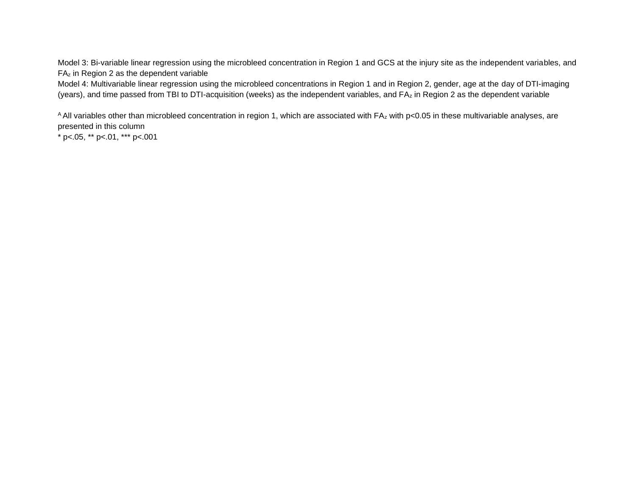Model 3: Bi-variable linear regression using the microbleed concentration in Region 1 and GCS at the injury site as the independent variables, and FA<sup>z</sup> in Region 2 as the dependent variable

Model 4: Multivariable linear regression using the microbleed concentrations in Region 1 and in Region 2, gender, age at the day of DTI-imaging (years), and time passed from TBI to DTI-acquisition (weeks) as the independent variables, and FA<sup>z</sup> in Region 2 as the dependent variable

A All variables other than microbleed concentration in region 1, which are associated with FAz with p<0.05 in these multivariable analyses, are presented in this column

 $*$  p<.05,  $*$  p <.01,  $*$  \*\* p <.001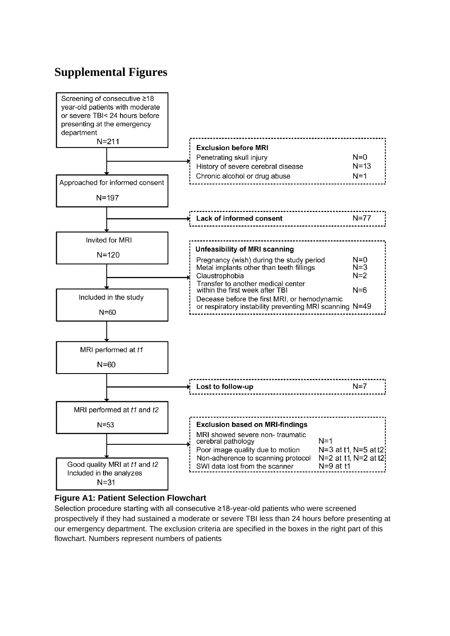# **Supplemental Figures**



#### **Figure A1: Patient Selection Flowchart**

Selection procedure starting with all consecutive ≥18-year-old patients who were screened prospectively if they had sustained a moderate or severe TBI less than 24 hours before presenting at our emergency department. The exclusion criteria are specified in the boxes in the right part of this flowchart. Numbers represent numbers of patients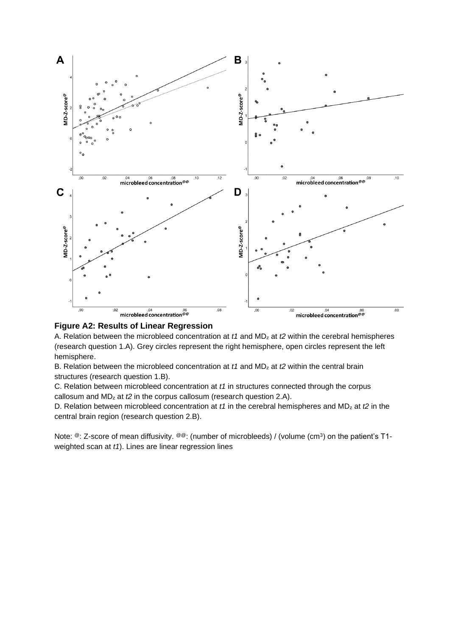



A. Relation between the microbleed concentration at *t1* and MD<sup>z</sup> at *t2* within the cerebral hemispheres (research question 1.A). Grey circles represent the right hemisphere, open circles represent the left hemisphere.

B. Relation between the microbleed concentration at *t1* and MD<sup>z</sup> at *t2* within the central brain structures (research question 1.B).

C. Relation between microbleed concentration at *t1* in structures connected through the corpus callosum and MD<sup>z</sup> at *t2* in the corpus callosum (research question 2.A).

D. Relation between microbleed concentration at *t1* in the cerebral hemispheres and MD<sup>z</sup> at *t2* in the central brain region (research question 2.B).

Note: <sup>@</sup>: Z-score of mean diffusivity. <sup>@@</sup>: (number of microbleeds) / (volume (cm<sup>3</sup>) on the patient's T1weighted scan at *t1*). Lines are linear regression lines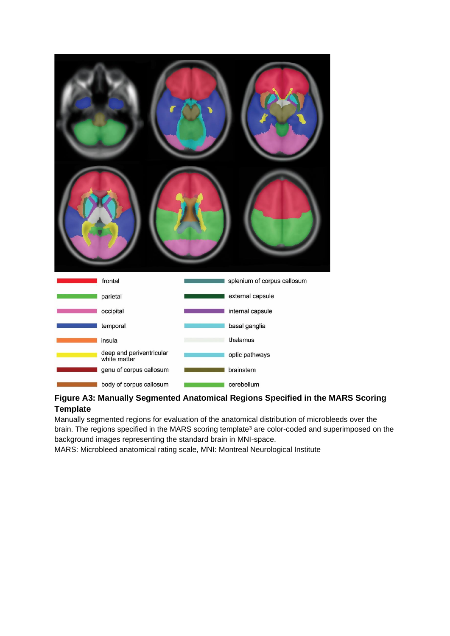| frontal                                  | splenium of corpus callosum |
|------------------------------------------|-----------------------------|
| parietal                                 | external capsule            |
| occipital                                | internal capsule            |
| temporal                                 | basal ganglia               |
| insula                                   | thalamus                    |
| deep and periventricular<br>white matter | optic pathways              |
| genu of corpus callosum                  | brainstem                   |
| body of corpus callosum                  | cerebellum                  |

### **Figure A3: Manually Segmented Anatomical Regions Specified in the MARS Scoring Template**

Manually segmented regions for evaluation of the anatomical distribution of microbleeds over the brain. The regions specified in the MARS scoring template<sup>3</sup> are color-coded and superimposed on the background images representing the standard brain in MNI-space.

MARS: Microbleed anatomical rating scale, MNI: Montreal Neurological Institute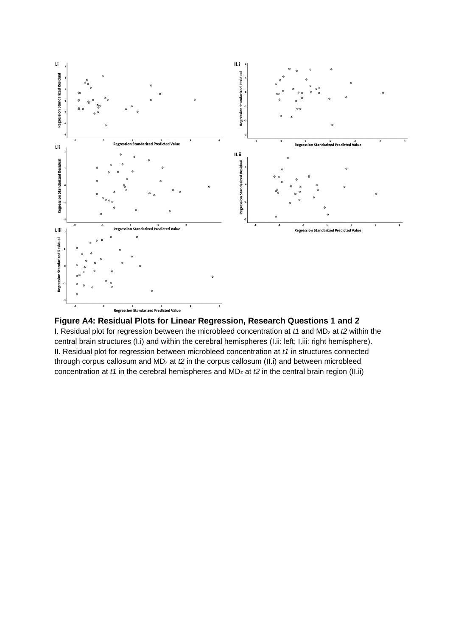



I. Residual plot for regression between the microbleed concentration at *t1* and MD<sup>z</sup> at *t2* within the central brain structures (I.i) and within the cerebral hemispheres (I.ii: left; I.iii: right hemisphere). II. Residual plot for regression between microbleed concentration at *t1* in structures connected through corpus callosum and MD<sub>z</sub> at *t*2 in the corpus callosum (II.i) and between microbleed concentration at *t1* in the cerebral hemispheres and MD<sub>z</sub> at *t2* in the central brain region (II.ii)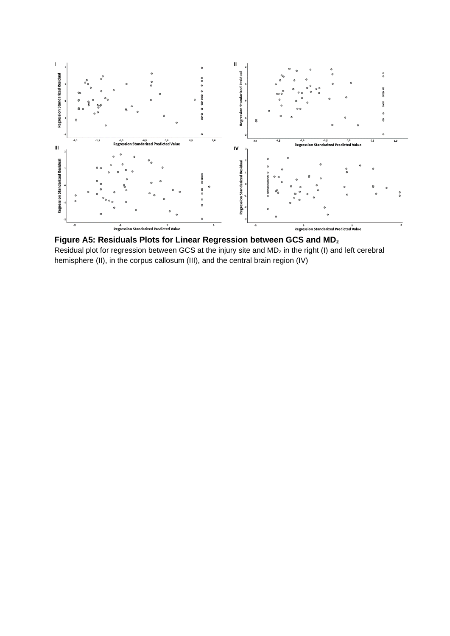